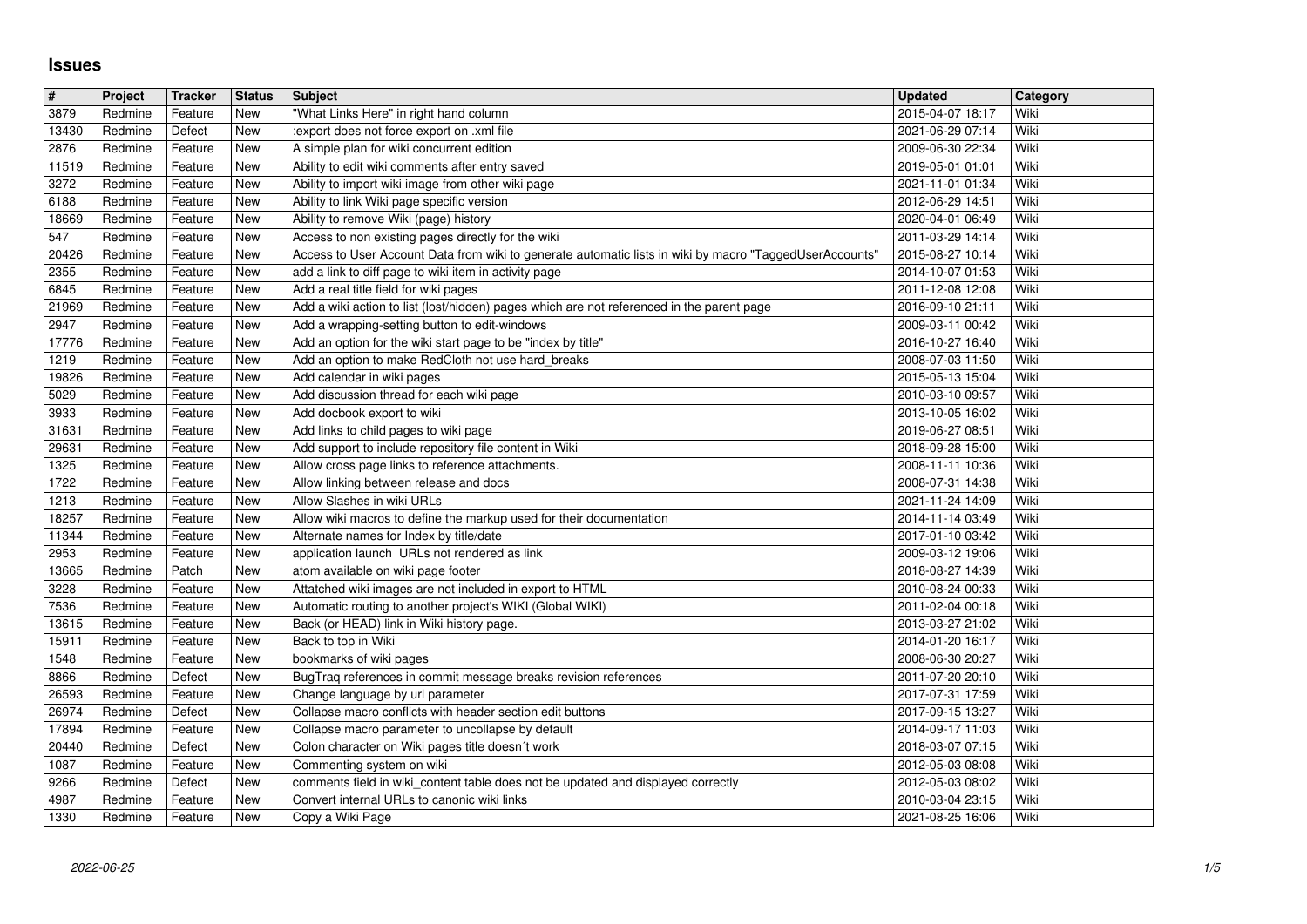## **Issues**

| #              | Project            | <b>Tracker</b>     | <b>Status</b>            | <b>Subject</b>                                                                                                                     | <b>Updated</b>                       | Category     |
|----------------|--------------------|--------------------|--------------------------|------------------------------------------------------------------------------------------------------------------------------------|--------------------------------------|--------------|
| 3879<br>13430  | Redmine<br>Redmine | Feature<br>Defect  | New<br>New               | "What Links Here" in right hand column<br>:export does not force export on .xml file                                               | 2015-04-07 18:17<br>2021-06-29 07:14 | Wiki<br>Wiki |
| 2876           | Redmine            | Feature            | New                      | A simple plan for wiki concurrent edition                                                                                          | 2009-06-30 22:34                     | Wiki         |
| 11519<br>3272  | Redmine<br>Redmine | Feature<br>Feature | New<br>New               | Ability to edit wiki comments after entry saved<br>Ability to import wiki image from other wiki page                               | 2019-05-01 01:01<br>2021-11-01 01:34 | Wiki<br>Wiki |
| 6188           | Redmine            | Feature            | New                      | Ability to link Wiki page specific version                                                                                         | 2012-06-29 14:51                     | Wiki         |
| 18669<br>547   | Redmine<br>Redmine | Feature<br>Feature | New<br><b>New</b>        | Ability to remove Wiki (page) history<br>Access to non existing pages directly for the wiki                                        | 2020-04-01 06:49<br>2011-03-29 14:14 | Wiki<br>Wiki |
| 20426          | Redmine            | Feature            | <b>New</b>               | Access to User Account Data from wiki to generate automatic lists in wiki by macro "TaggedUserAccounts'                            | 2015-08-27 10:14                     | Wiki         |
| 2355           | Redmine            | Feature            | New                      | add a link to diff page to wiki item in activity page                                                                              | 2014-10-07 01:53                     | Wiki         |
| 6845<br>21969  | Redmine<br>Redmine | Feature<br>Feature | <b>New</b><br><b>New</b> | Add a real title field for wiki pages<br>Add a wiki action to list (lost/hidden) pages which are not referenced in the parent page | 2011-12-08 12:08<br>2016-09-10 21:11 | Wiki<br>Wiki |
| 2947           | Redmine            | Feature            | <b>New</b>               | Add a wrapping-setting button to edit-windows                                                                                      | 2009-03-11 00:42                     | Wiki         |
| 17776<br>1219  | Redmine<br>Redmine | Feature<br>Feature | New<br>New               | Add an option for the wiki start page to be "index by title"<br>Add an option to make RedCloth not use hard_breaks                 | 2016-10-27 16:40<br>2008-07-03 11:50 | Wiki<br>Wiki |
| 19826          | Redmine            | Feature            | New                      | Add calendar in wiki pages                                                                                                         | 2015-05-13 15:04                     | Wiki         |
| 5029<br>3933   | Redmine<br>Redmine | Feature<br>Feature | New<br>New               | Add discussion thread for each wiki page<br>Add docbook export to wiki                                                             | 2010-03-10 09:57<br>2013-10-05 16:02 | Wiki<br>Wiki |
| 31631          | Redmine            | Feature            | New                      | Add links to child pages to wiki page                                                                                              | 2019-06-27 08:51                     | Wiki         |
| 29631<br>1325  | Redmine<br>Redmine | Feature<br>Feature | New<br>New               | Add support to include repository file content in Wiki<br>Allow cross page links to reference attachments.                         | 2018-09-28 15:00<br>2008-11-11 10:36 | Wiki<br>Wiki |
| 1722           | Redmine            | Feature            | New                      | Allow linking between release and docs                                                                                             | 2008-07-31 14:38                     | Wiki         |
| 1213<br>18257  | Redmine<br>Redmine | Feature<br>Feature | New<br>New               | Allow Slashes in wiki URLs<br>Allow wiki macros to define the markup used for their documentation                                  | 2021-11-24 14:09<br>2014-11-14 03:49 | Wiki<br>Wiki |
| 11344          | Redmine            | Feature            | New                      | Alternate names for Index by title/date                                                                                            | 2017-01-10 03:42                     | Wiki         |
| 2953<br>13665  | Redmine<br>Redmine | Feature<br>Patch   | <b>New</b><br><b>New</b> | application launch URLs not rendered as link<br>atom available on wiki page footer                                                 | 2009-03-12 19:06<br>2018-08-27 14:39 | Wiki<br>Wiki |
| 3228           | Redmine            | Feature            | New                      | Attatched wiki images are not included in export to HTML                                                                           | 2010-08-24 00:33                     | Wiki         |
| 7536           | Redmine            | Feature            | New                      | Automatic routing to another project's WIKI (Global WIKI)                                                                          | 2011-02-04 00:18                     | Wiki         |
| 13615<br>15911 | Redmine<br>Redmine | Feature<br>Feature | New<br>New               | Back (or HEAD) link in Wiki history page.<br>Back to top in Wiki                                                                   | 2013-03-27 21:02<br>2014-01-20 16:17 | Wiki<br>Wiki |
| 1548           | Redmine            | Feature            | New                      | bookmarks of wiki pages                                                                                                            | 2008-06-30 20:27                     | Wiki         |
| 8866<br>26593  | Redmine<br>Redmine | Defect<br>Feature  | New<br>New               | BugTraq references in commit message breaks revision references<br>Change language by url parameter                                | 2011-07-20 20:10<br>2017-07-31 17:59 | Wiki<br>Wiki |
| 26974          | Redmine            | Defect             | New                      | Collapse macro conflicts with header section edit buttons                                                                          | 2017-09-15 13:27                     | Wiki         |
| 17894<br>20440 | Redmine<br>Redmine | Feature<br>Defect  | New<br>New               | Collapse macro parameter to uncollapse by default<br>Colon character on Wiki pages title doesn't work                              | 2014-09-17 11:03<br>2018-03-07 07:15 | Wiki<br>Wiki |
| 1087           | Redmine            | Feature            | <b>New</b>               | Commenting system on wiki                                                                                                          | 2012-05-03 08:08                     | Wiki         |
| 9266<br>4987   | Redmine<br>Redmine | Defect<br>Feature  | New<br>New               | comments field in wiki_content table does not be updated and displayed correctly<br>Convert internal URLs to canonic wiki links    | 2012-05-03 08:02<br>2010-03-04 23:15 | Wiki<br>Wiki |
| 1330           | Redmine            | Feature            | New                      | Copy a Wiki Page                                                                                                                   | 2021-08-25 16:06                     | Wiki         |
|                |                    |                    |                          |                                                                                                                                    |                                      |              |
|                |                    |                    |                          |                                                                                                                                    |                                      |              |
|                |                    |                    |                          |                                                                                                                                    |                                      |              |
|                |                    |                    |                          |                                                                                                                                    |                                      |              |
|                |                    |                    |                          |                                                                                                                                    |                                      |              |
|                |                    |                    |                          |                                                                                                                                    |                                      |              |
|                |                    |                    |                          |                                                                                                                                    |                                      |              |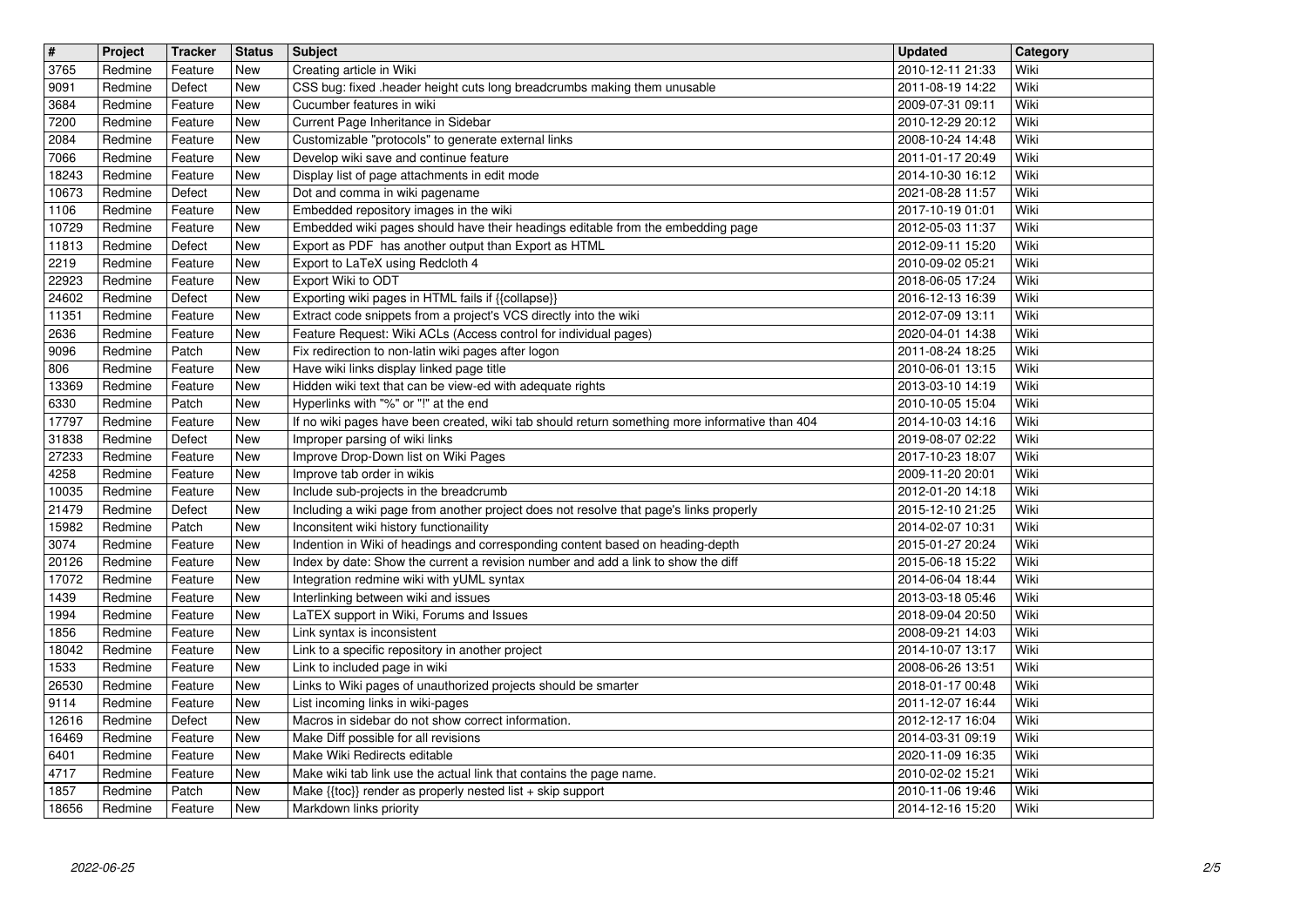| $\sqrt{t}$<br>3765 | Project<br>Redmine | Tracker<br>Feature | <b>Status</b><br>New | <b>Subject</b><br>Creating article in Wiki                                                                                                                          | <b>Updated</b><br>2010-12-11 21:33   | Category<br>Wiki |
|--------------------|--------------------|--------------------|----------------------|---------------------------------------------------------------------------------------------------------------------------------------------------------------------|--------------------------------------|------------------|
| 9091               | Redmine            | Defect             | New                  | CSS bug: fixed .header height cuts long breadcrumbs making them unusable                                                                                            | 2011-08-19 14:22                     | Wiki             |
| 3684<br>7200       | Redmine<br>Redmine | Feature<br>Feature | New<br>New           | Cucumber features in wiki<br>Current Page Inheritance in Sidebar                                                                                                    | 2009-07-31 09:11<br>2010-12-29 20:12 | Wiki<br>Wiki     |
| 2084               | Redmine            | Feature            | New                  | Customizable "protocols" to generate external links                                                                                                                 | 2008-10-24 14:48                     | Wiki             |
| 7066<br>18243      | Redmine<br>Redmine | Feature<br>Feature | New<br>New           | Develop wiki save and continue feature<br>Display list of page attachments in edit mode                                                                             | 2011-01-17 20:49<br>2014-10-30 16:12 | Wiki<br>Wiki     |
| 10673              | Redmine            | Defect             | New                  | Dot and comma in wiki pagename                                                                                                                                      | 2021-08-28 11:57                     | Wiki             |
| 1106<br>10729      | Redmine<br>Redmine | Feature<br>Feature | New<br>New           | Embedded repository images in the wiki<br>Embedded wiki pages should have their headings editable from the embedding page                                           | 2017-10-19 01:01<br>2012-05-03 11:37 | Wiki<br>Wiki     |
| 11813              | Redmine            | Defect             | New                  | Export as PDF has another output than Export as HTML                                                                                                                | 2012-09-11 15:20                     | Wiki             |
| 2219<br>22923      | Redmine<br>Redmine | Feature<br>Feature | New<br>New           | Export to LaTeX using Redcloth 4<br>Export Wiki to ODT                                                                                                              | 2010-09-02 05:21<br>2018-06-05 17:24 | Wiki<br>Wiki     |
| 24602<br>11351     | Redmine<br>Redmine | Defect<br>Feature  | New<br>New           | Exporting wiki pages in HTML fails if {{collapse}}<br>Extract code snippets from a project's VCS directly into the wiki                                             | 2016-12-13 16:39<br>2012-07-09 13:11 | Wiki<br>Wiki     |
| 2636               | Redmine            | Feature            | New                  | Feature Request: Wiki ACLs (Access control for individual pages)                                                                                                    | 2020-04-01 14:38                     | Wiki             |
| 9096<br>806        | Redmine<br>Redmine | Patch<br>Feature   | New<br>New           | Fix redirection to non-latin wiki pages after logon<br>Have wiki links display linked page title                                                                    | 2011-08-24 18:25<br>2010-06-01 13:15 | Wiki<br>Wiki     |
| 13369              | Redmine            | Feature            | New                  | Hidden wiki text that can be view-ed with adequate rights                                                                                                           | 2013-03-10 14:19                     | Wiki             |
| 6330<br>17797      | Redmine<br>Redmine | Patch<br>Feature   | New<br>New           | Hyperlinks with "%" or "!" at the end<br>If no wiki pages have been created, wiki tab should return something more informative than 404                             | 2010-10-05 15:04<br>2014-10-03 14:16 | Wiki<br>Wiki     |
| 31838              | Redmine            | Defect             | New                  | Improper parsing of wiki links<br>Improve Drop-Down list on Wiki Pages                                                                                              | 2019-08-07 02:22                     | Wiki<br>Wiki     |
| 27233<br>4258      | Redmine<br>Redmine | Feature<br>Feature | New<br>New           | Improve tab order in wikis                                                                                                                                          | 2017-10-23 18:07<br>2009-11-20 20:01 | Wiki             |
| 10035<br>21479     | Redmine<br>Redmine | Feature<br>Defect  | New<br>New           | Include sub-projects in the breadcrumb<br>Including a wiki page from another project does not resolve that page's links properly                                    | 2012-01-20 14:18<br>2015-12-10 21:25 | Wiki<br>Wiki     |
| 15982              | Redmine            | Patch              | New                  | Inconsitent wiki history functionaility                                                                                                                             | 2014-02-07 10:31                     | Wiki             |
| 3074<br>20126      | Redmine<br>Redmine | Feature<br>Feature | New<br>New           | Indention in Wiki of headings and corresponding content based on heading-depth<br>Index by date: Show the current a revision number and add a link to show the diff | 2015-01-27 20:24<br>2015-06-18 15:22 | Wiki<br>Wiki     |
| 17072              | Redmine            | Feature            | New                  | Integration redmine wiki with yUML syntax                                                                                                                           | 2014-06-04 18:44                     | Wiki             |
| 1439<br>1994       | Redmine<br>Redmine | Feature<br>Feature | New<br>New           | Interlinking between wiki and issues<br>LaTEX support in Wiki, Forums and Issues                                                                                    | 2013-03-18 05:46<br>2018-09-04 20:50 | Wiki<br>Wiki     |
| 1856               | Redmine            | Feature            | New                  | Link syntax is inconsistent                                                                                                                                         | 2008-09-21 14:03                     | Wiki             |
| 18042<br>1533      | Redmine<br>Redmine | Feature<br>Feature | New<br>New           | Link to a specific repository in another project<br>Link to included page in wiki                                                                                   | 2014-10-07 13:17<br>2008-06-26 13:51 | Wiki<br>Wiki     |
| 26530<br>9114      | Redmine<br>Redmine | Feature<br>Feature | New<br>New           | Links to Wiki pages of unauthorized projects should be smarter<br>List incoming links in wiki-pages                                                                 | 2018-01-17 00:48<br>2011-12-07 16:44 | Wiki<br>Wiki     |
| 12616              | Redmine            | Defect             | New                  | Macros in sidebar do not show correct information.                                                                                                                  | 2012-12-17 16:04                     | Wiki             |
| 16469<br>6401      | Redmine<br>Redmine | Feature<br>Feature | New<br><b>New</b>    | Make Diff possible for all revisions<br>Make Wiki Redirects editable                                                                                                | 2014-03-31 09:19<br>2020-11-09 16:35 | Wiki<br>Wiki     |
| 4717               | Redmine            | Feature            | New                  | Make wiki tab link use the actual link that contains the page name.                                                                                                 | 2010-02-02 15:21                     | Wiki             |
| 1857<br>18656      | Redmine<br>Redmine | Patch<br>Feature   | New<br>New           | Make {{toc}} render as properly nested list + skip support<br>Markdown links priority                                                                               | 2010-11-06 19:46<br>2014-12-16 15:20 | Wiki<br>Wiki     |
|                    |                    |                    |                      |                                                                                                                                                                     |                                      |                  |
|                    |                    |                    |                      |                                                                                                                                                                     |                                      |                  |
|                    |                    |                    |                      |                                                                                                                                                                     |                                      |                  |
|                    |                    |                    |                      |                                                                                                                                                                     |                                      |                  |
|                    |                    |                    |                      |                                                                                                                                                                     |                                      |                  |
|                    |                    |                    |                      |                                                                                                                                                                     |                                      |                  |
|                    |                    |                    |                      |                                                                                                                                                                     |                                      |                  |
|                    |                    |                    |                      |                                                                                                                                                                     |                                      |                  |
|                    |                    |                    |                      |                                                                                                                                                                     |                                      |                  |
|                    |                    |                    |                      |                                                                                                                                                                     |                                      |                  |
|                    |                    |                    |                      |                                                                                                                                                                     |                                      |                  |
|                    |                    |                    |                      |                                                                                                                                                                     |                                      |                  |
|                    |                    |                    |                      |                                                                                                                                                                     |                                      |                  |
|                    |                    |                    |                      |                                                                                                                                                                     |                                      |                  |
|                    |                    |                    |                      |                                                                                                                                                                     |                                      |                  |
|                    |                    |                    |                      |                                                                                                                                                                     |                                      |                  |
|                    |                    |                    |                      |                                                                                                                                                                     |                                      |                  |
|                    |                    |                    |                      |                                                                                                                                                                     |                                      |                  |
|                    |                    |                    |                      |                                                                                                                                                                     |                                      |                  |
|                    |                    |                    |                      |                                                                                                                                                                     |                                      |                  |
|                    |                    |                    |                      |                                                                                                                                                                     |                                      |                  |
|                    |                    |                    |                      |                                                                                                                                                                     |                                      |                  |
|                    |                    |                    |                      |                                                                                                                                                                     |                                      |                  |
|                    |                    |                    |                      |                                                                                                                                                                     |                                      |                  |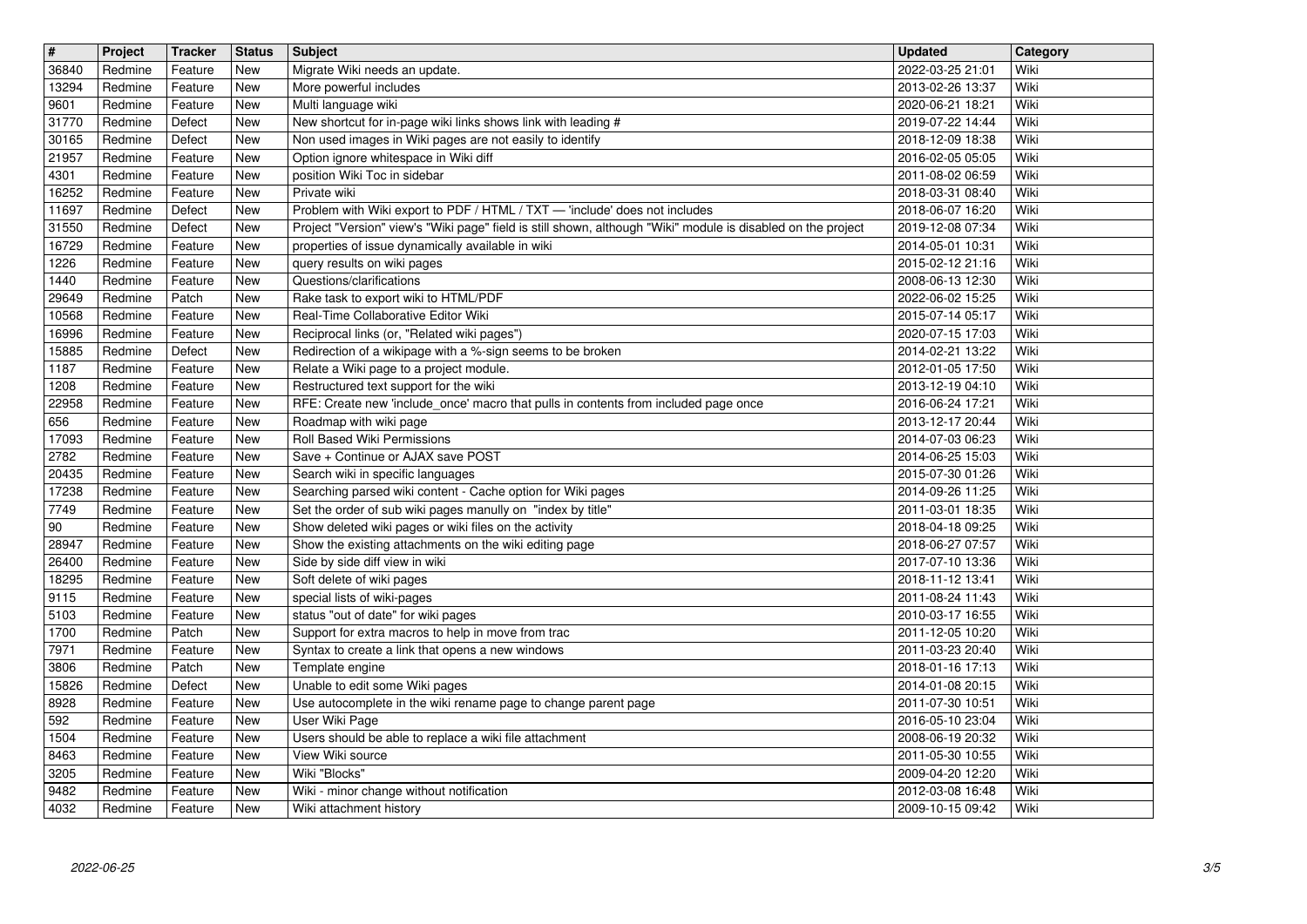| $\overline{\mathbf{H}}$ | Project            | <b>Tracker</b>     | <b>Status</b>            | Subject                                                                                                                   | <b>Updated</b>                       | Category     |
|-------------------------|--------------------|--------------------|--------------------------|---------------------------------------------------------------------------------------------------------------------------|--------------------------------------|--------------|
| 36840<br>13294          | Redmine<br>Redmine | Feature<br>Feature | <b>New</b><br>New        | Migrate Wiki needs an update.<br>More powerful includes                                                                   | 2022-03-25 21:01<br>2013-02-26 13:37 | Wiki<br>Wiki |
| 9601                    | Redmine            | Feature            | <b>New</b>               | Multi language wiki                                                                                                       | 2020-06-21 18:21                     | Wiki         |
| 31770<br>30165          | Redmine<br>Redmine | Defect<br>Defect   | <b>New</b><br><b>New</b> | New shortcut for in-page wiki links shows link with leading #<br>Non used images in Wiki pages are not easily to identify | 2019-07-22 14:44<br>2018-12-09 18:38 | Wiki<br>Wiki |
| 21957                   | Redmine            | Feature            | New                      | Option ignore whitespace in Wiki diff                                                                                     | 2016-02-05 05:05                     | Wiki         |
| 4301<br>16252           | Redmine<br>Redmine | Feature<br>Feature | New<br><b>New</b>        | position Wiki Toc in sidebar<br>Private wiki                                                                              | 2011-08-02 06:59<br>2018-03-31 08:40 | Wiki<br>Wiki |
| 11697                   | Redmine            | Defect             | <b>New</b>               | Problem with Wiki export to PDF / HTML / TXT - 'include' does not includes                                                | 2018-06-07 16:20                     | Wiki         |
| 31550                   | Redmine            | Defect             | <b>New</b>               | Project "Version" view's "Wiki page" field is still shown, although "Wiki" module is disabled on the project              | 2019-12-08 07:34                     | Wiki         |
| 16729<br>1226           | Redmine<br>Redmine | Feature<br>Feature | New<br><b>New</b>        | properties of issue dynamically available in wiki<br>query results on wiki pages                                          | 2014-05-01 10:31<br>2015-02-12 21:16 | Wiki<br>Wiki |
| 1440                    | Redmine            | Feature            | <b>New</b>               | Questions/clarifications                                                                                                  | 2008-06-13 12:30                     | Wiki         |
| 29649<br>10568          | Redmine<br>Redmine | Patch<br>Feature   | <b>New</b><br><b>New</b> | Rake task to export wiki to HTML/PDF<br>Real-Time Collaborative Editor Wiki                                               | 2022-06-02 15:25<br>2015-07-14 05:17 | Wiki<br>Wiki |
| 16996                   | Redmine            | Feature            | <b>New</b>               | Reciprocal links (or, "Related wiki pages")                                                                               | 2020-07-15 17:03                     | Wiki         |
| 15885<br>1187           | Redmine<br>Redmine | Defect<br>Feature  | <b>New</b><br>New        | Redirection of a wikipage with a %-sign seems to be broken<br>Relate a Wiki page to a project module.                     | 2014-02-21 13:22<br>2012-01-05 17:50 | Wiki<br>Wiki |
| 1208                    | Redmine            | Feature            | <b>New</b>               | Restructured text support for the wiki                                                                                    | 2013-12-19 04:10                     | Wiki         |
| 22958                   | Redmine            | Feature            | New                      | RFE: Create new 'include_once' macro that pulls in contents from included page once                                       | 2016-06-24 17:21                     | Wiki         |
| 656<br>17093            | Redmine<br>Redmine | Feature<br>Feature | <b>New</b><br><b>New</b> | Roadmap with wiki page<br>Roll Based Wiki Permissions                                                                     | 2013-12-17 20:44<br>2014-07-03 06:23 | Wiki<br>Wiki |
| 2782                    | Redmine            | Feature            | <b>New</b>               | Save + Continue or AJAX save POST                                                                                         | 2014-06-25 15:03                     | Wiki         |
| 20435<br>17238          | Redmine<br>Redmine | Feature<br>Feature | <b>New</b><br><b>New</b> | Search wiki in specific languages<br>Searching parsed wiki content - Cache option for Wiki pages                          | 2015-07-30 01:26<br>2014-09-26 11:25 | Wiki<br>Wiki |
| 7749                    | Redmine            | Feature            | <b>New</b>               | Set the order of sub wiki pages manully on "index by title"                                                               | 2011-03-01 18:35                     | Wiki         |
| 90<br>28947             | Redmine<br>Redmine | Feature<br>Feature | <b>New</b><br><b>New</b> | Show deleted wiki pages or wiki files on the activity<br>Show the existing attachments on the wiki editing page           | 2018-04-18 09:25<br>2018-06-27 07:57 | Wiki<br>Wiki |
| 26400                   | Redmine            | Feature            | New                      | Side by side diff view in wiki                                                                                            | 2017-07-10 13:36                     | Wiki         |
| 18295                   | Redmine            | Feature            | New                      | Soft delete of wiki pages                                                                                                 | 2018-11-12 13:41                     | Wiki         |
| 9115<br>5103            | Redmine<br>Redmine | Feature<br>Feature | <b>New</b><br><b>New</b> | special lists of wiki-pages<br>status "out of date" for wiki pages                                                        | 2011-08-24 11:43<br>2010-03-17 16:55 | Wiki<br>Wiki |
| 1700                    | Redmine            | Patch              | New                      | Support for extra macros to help in move from trac                                                                        | 2011-12-05 10:20                     | Wiki         |
| 7971<br>3806            | Redmine<br>Redmine | Feature<br>Patch   | New<br><b>New</b>        | Syntax to create a link that opens a new windows<br>Template engine                                                       | 2011-03-23 20:40<br>2018-01-16 17:13 | Wiki<br>Wiki |
| 15826                   | Redmine            | Defect             | <b>New</b>               | Unable to edit some Wiki pages                                                                                            | 2014-01-08 20:15                     | Wiki         |
| 8928<br>592             | Redmine<br>Redmine | Feature<br>Feature | New<br>New               | Use autocomplete in the wiki rename page to change parent page<br>User Wiki Page                                          | 2011-07-30 10:51<br>2016-05-10 23:04 | Wiki<br>Wiki |
| $\boxed{1504}$          | Redmine            | Feature            | New                      | Users should be able to replace a wiki file attachment                                                                    | 2008-06-19 20:32                     | Wiki         |
| 8463                    | Redmine            | Feature            | New                      | View Wiki source                                                                                                          | 2011-05-30 10:55                     | Wiki         |
| 3205<br>9482            | Redmine<br>Redmine | Feature<br>Feature | New<br>New               | Wiki "Blocks"<br>Wiki - minor change without notification                                                                 | 2009-04-20 12:20<br>2012-03-08 16:48 | Wiki<br>Wiki |
| 4032                    | Redmine            | Feature            | New                      | Wiki attachment history                                                                                                   | 2009-10-15 09:42                     | Wiki         |
|                         |                    |                    |                          |                                                                                                                           |                                      |              |
|                         |                    |                    |                          |                                                                                                                           |                                      |              |
|                         |                    |                    |                          |                                                                                                                           |                                      |              |
|                         |                    |                    |                          |                                                                                                                           |                                      |              |
|                         |                    |                    |                          |                                                                                                                           |                                      |              |
|                         |                    |                    |                          |                                                                                                                           |                                      |              |
|                         |                    |                    |                          |                                                                                                                           |                                      |              |
|                         |                    |                    |                          |                                                                                                                           |                                      |              |
|                         |                    |                    |                          |                                                                                                                           |                                      |              |
|                         |                    |                    |                          |                                                                                                                           |                                      |              |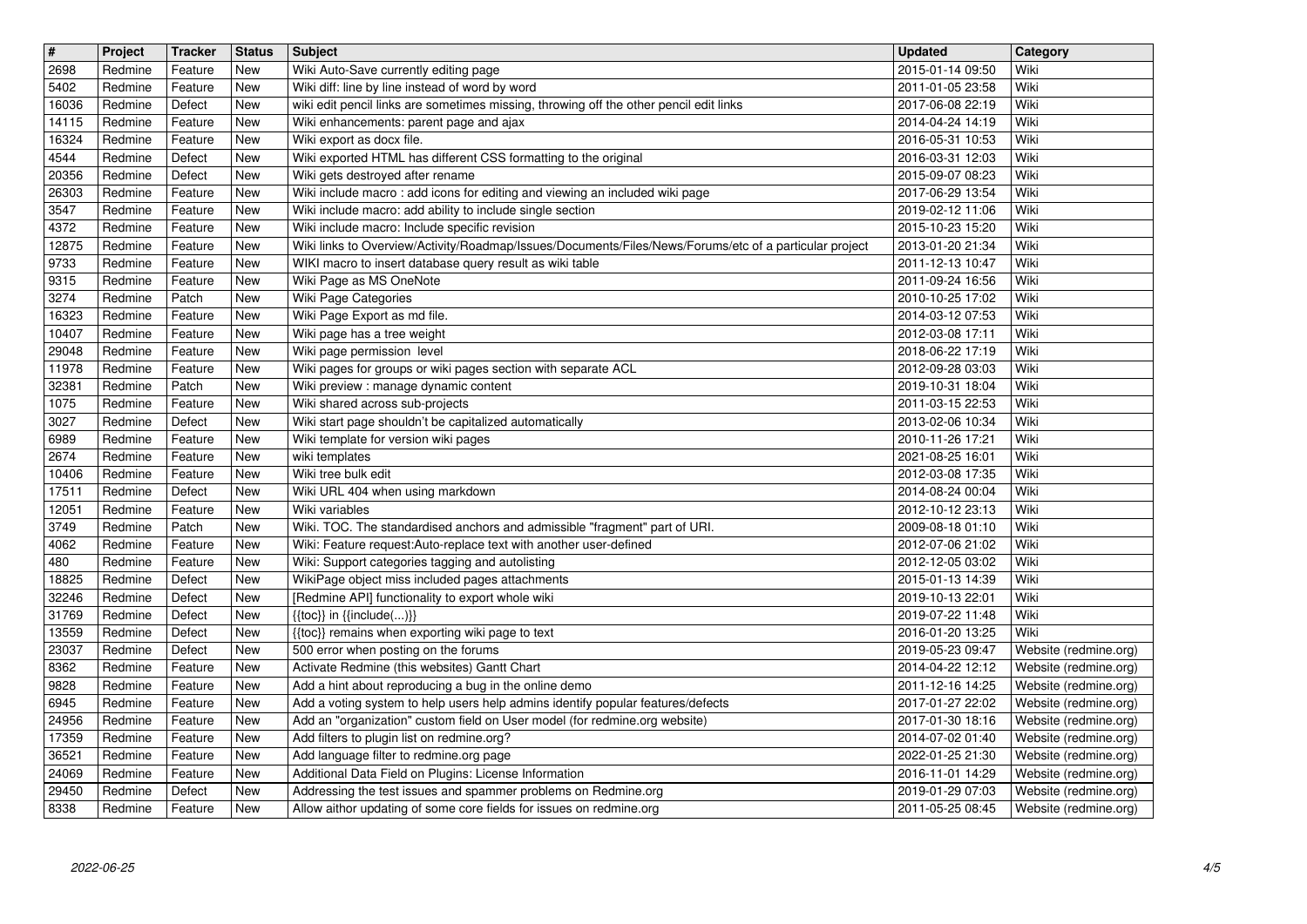| $\sqrt{t}$<br>2698 | Project<br>Redmine | Tracker<br>Feature | <b>Status</b><br>New | <b>Subject</b>                                                                                                                                  | <b>Updated</b>                       | Category<br>Wiki                               |
|--------------------|--------------------|--------------------|----------------------|-------------------------------------------------------------------------------------------------------------------------------------------------|--------------------------------------|------------------------------------------------|
| 5402               | Redmine            | Feature            | New                  | Wiki Auto-Save currently editing page<br>Wiki diff: line by line instead of word by word                                                        | 2015-01-14 09:50<br>2011-01-05 23:58 | Wiki                                           |
| 16036<br>14115     | Redmine<br>Redmine | Defect<br>Feature  | New<br>New           | wiki edit pencil links are sometimes missing, throwing off the other pencil edit links<br>Wiki enhancements: parent page and ajax               | 2017-06-08 22:19<br>2014-04-24 14:19 | Wiki<br>Wiki                                   |
| 16324              | Redmine            | Feature            | New                  | Wiki export as docx file.                                                                                                                       | 2016-05-31 10:53                     | Wiki                                           |
| 4544<br>20356      | Redmine<br>Redmine | Defect<br>Defect   | New<br>New           | Wiki exported HTML has different CSS formatting to the original<br>Wiki gets destroyed after rename                                             | 2016-03-31 12:03<br>2015-09-07 08:23 | Wiki<br>Wiki                                   |
| 26303              | Redmine            | Feature            | New                  | Wiki include macro: add icons for editing and viewing an included wiki page                                                                     | 2017-06-29 13:54                     | Wiki                                           |
| 3547<br>4372       | Redmine<br>Redmine | Feature<br>Feature | New<br>New           | Wiki include macro: add ability to include single section<br>Wiki include macro: Include specific revision                                      | 2019-02-12 11:06<br>2015-10-23 15:20 | Wiki<br>Wiki                                   |
| 12875              | Redmine            | Feature            | New                  | Wiki links to Overview/Activity/Roadmap/Issues/Documents/Files/News/Forums/etc of a particular project                                          | 2013-01-20 21:34                     | Wiki                                           |
| 9733<br>9315       | Redmine<br>Redmine | Feature<br>Feature | New<br>New           | WIKI macro to insert database query result as wiki table<br>Wiki Page as MS OneNote                                                             | 2011-12-13 10:47<br>2011-09-24 16:56 | Wiki<br>Wiki                                   |
| 3274               | Redmine            | Patch              | New                  | Wiki Page Categories                                                                                                                            | 2010-10-25 17:02                     | Wiki                                           |
| 16323<br>10407     | Redmine<br>Redmine | Feature<br>Feature | New<br>New           | Wiki Page Export as md file.<br>Wiki page has a tree weight                                                                                     | 2014-03-12 07:53<br>2012-03-08 17:11 | Wiki<br>Wiki                                   |
| 29048              | Redmine            | Feature            | New                  | Wiki page permission level                                                                                                                      | 2018-06-22 17:19                     | Wiki                                           |
| 11978<br>32381     | Redmine<br>Redmine | Feature<br>Patch   | New<br>New           | Wiki pages for groups or wiki pages section with separate ACL<br>Wiki preview : manage dynamic content                                          | 2012-09-28 03:03<br>2019-10-31 18:04 | Wiki<br>Wiki                                   |
| 1075               | Redmine            | Feature            | <b>New</b>           | Wiki shared across sub-projects                                                                                                                 | 2011-03-15 22:53                     | Wiki                                           |
| 3027<br>6989       | Redmine<br>Redmine | Defect<br>Feature  | New<br>New           | Wiki start page shouldn't be capitalized automatically<br>Wiki template for version wiki pages                                                  | 2013-02-06 10:34<br>2010-11-26 17:21 | Wiki<br>Wiki                                   |
| 2674               | Redmine            | Feature            | New                  | wiki templates                                                                                                                                  | 2021-08-25 16:01                     | Wiki                                           |
| 10406<br>17511     | Redmine<br>Redmine | Feature<br>Defect  | New<br>New           | Wiki tree bulk edit<br>Wiki URL 404 when using markdown                                                                                         | 2012-03-08 17:35<br>2014-08-24 00:04 | Wiki<br>Wiki                                   |
| 12051              | Redmine            | Feature            | New                  | Wiki variables                                                                                                                                  | 2012-10-12 23:13                     | Wiki                                           |
| 3749<br>4062       | Redmine<br>Redmine | Patch<br>Feature   | New<br>New           | Wiki. TOC. The standardised anchors and admissible "fragment" part of URI.<br>Wiki: Feature request:Auto-replace text with another user-defined | 2009-08-18 01:10<br>2012-07-06 21:02 | Wiki<br>Wiki                                   |
| 480                | Redmine            | Feature            | New                  | Wiki: Support categories tagging and autolisting                                                                                                | 2012-12-05 03:02                     | Wiki                                           |
| 18825<br>32246     | Redmine<br>Redmine | Defect<br>Defect   | <b>New</b><br>New    | WikiPage object miss included pages attachments<br>[Redmine API] functionality to export whole wiki                                             | 2015-01-13 14:39<br>2019-10-13 22:01 | Wiki<br>Wiki                                   |
| 31769              | Redmine            | Defect             | New                  | $\{\{\textsf{toc}\}\}\$ in $\{\{\textsf{include}()\}\}$                                                                                         | 2019-07-22 11:48                     | Wiki                                           |
| 13559<br>23037     | Redmine<br>Redmine | Defect<br>Defect   | New<br>New           | {{toc}} remains when exporting wiki page to text<br>500 error when posting on the forums                                                        | 2016-01-20 13:25<br>2019-05-23 09:47 | Wiki<br>Website (redmine.org)                  |
| 8362               | Redmine            | Feature            | <b>New</b>           | Activate Redmine (this websites) Gantt Chart                                                                                                    | 2014-04-22 12:12                     | Website (redmine.org)                          |
| 9828<br>6945       | Redmine<br>Redmine | Feature<br>Feature | New<br>New           | Add a hint about reproducing a bug in the online demo<br>Add a voting system to help users help admins identify popular features/defects        | 2011-12-16 14:25<br>2017-01-27 22:02 | Website (redmine.org)<br>Website (redmine.org) |
| 24956              | Redmine<br>Redmine | Feature            | New<br>New           | Add an "organization" custom field on User model (for redmine.org website)<br>Add filters to plugin list on redmine.org?                        | 2017-01-30 18:16                     | Website (redmine.org)<br>Website (redmine.org) |
| 17359<br>36521     | Redmine            | Feature<br>Feature | <b>New</b>           | Add language filter to redmine.org page                                                                                                         | 2014-07-02 01:40<br>2022-01-25 21:30 | Website (redmine.org)                          |
| 24069<br>29450     | Redmine<br>Redmine | Feature<br>Defect  | <b>New</b><br>New    | Additional Data Field on Plugins: License Information<br>Addressing the test issues and spammer problems on Redmine.org                         | 2016-11-01 14:29<br>2019-01-29 07:03 | Website (redmine.org)<br>Website (redmine.org) |
| 8338               | Redmine            | Feature            | New                  | Allow aithor updating of some core fields for issues on redmine.org                                                                             | 2011-05-25 08:45                     | Website (redmine.org)                          |
|                    |                    |                    |                      |                                                                                                                                                 |                                      |                                                |
|                    |                    |                    |                      |                                                                                                                                                 |                                      |                                                |
|                    |                    |                    |                      |                                                                                                                                                 |                                      |                                                |
|                    |                    |                    |                      |                                                                                                                                                 |                                      |                                                |
|                    |                    |                    |                      |                                                                                                                                                 |                                      |                                                |
|                    |                    |                    |                      |                                                                                                                                                 |                                      |                                                |
|                    |                    |                    |                      |                                                                                                                                                 |                                      |                                                |